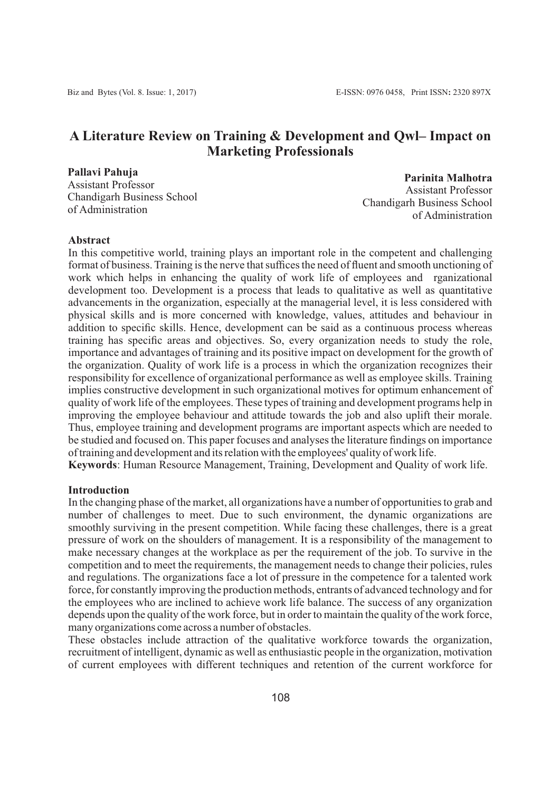# **A Literature Review on Training & Development and Qwl– Impact on Marketing Professionals**

**Pallavi Pahuja** Assistant Professor Chandigarh Business School of Administration

**Parinita Malhotra** Assistant Professor Chandigarh Business School of Administration

#### **Abstract**

In this competitive world, training plays an important role in the competent and challenging format of business. Training is the nerve that suffices the need of fluent and smooth unctioning of work which helps in enhancing the quality of work life of employees and rganizational development too. Development is a process that leads to qualitative as well as quantitative advancements in the organization, especially at the managerial level, it is less considered with physical skills and is more concerned with knowledge, values, attitudes and behaviour in addition to specific skills. Hence, development can be said as a continuous process whereas training has specific areas and objectives. So, every organization needs to study the role, importance and advantages of training and its positive impact on development for the growth of the organization. Quality of work life is a process in which the organization recognizes their responsibility for excellence of organizational performance as well as employee skills. Training implies constructive development in such organizational motives for optimum enhancement of quality of work life of the employees. These types of training and development programs help in improving the employee behaviour and attitude towards the job and also uplift their morale. Thus, employee training and development programs are important aspects which are needed to be studied and focused on. This paper focuses and analyses the literature findings on importance of training and development and its relation with the employees' quality of work life.

**Keywords**: Human Resource Management, Training, Development and Quality of work life.

# **Introduction**

In the changing phase of the market, all organizations have a number of opportunities to grab and number of challenges to meet. Due to such environment, the dynamic organizations are smoothly surviving in the present competition. While facing these challenges, there is a great pressure of work on the shoulders of management. It is a responsibility of the management to make necessary changes at the workplace as per the requirement of the job. To survive in the competition and to meet the requirements, the management needs to change their policies, rules and regulations. The organizations face a lot of pressure in the competence for a talented work force, for constantly improving the production methods, entrants of advanced technology and for the employees who are inclined to achieve work life balance. The success of any organization depends upon the quality of the work force, but in order to maintain the quality of the work force, many organizations come across a number of obstacles.

These obstacles include attraction of the qualitative workforce towards the organization, recruitment of intelligent, dynamic as well as enthusiastic people in the organization, motivation of current employees with different techniques and retention of the current workforce for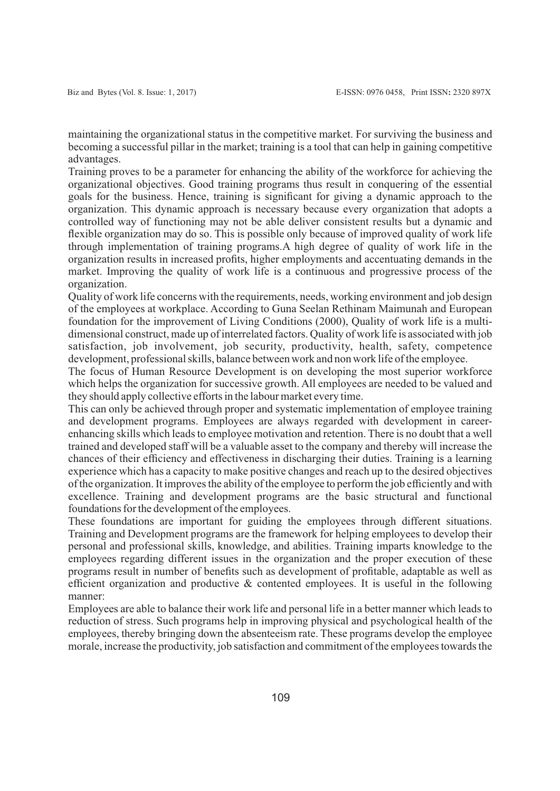maintaining the organizational status in the competitive market. For surviving the business and becoming a successful pillar in the market; training is a tool that can help in gaining competitive advantages.

Training proves to be a parameter for enhancing the ability of the workforce for achieving the organizational objectives. Good training programs thus result in conquering of the essential goals for the business. Hence, training is significant for giving a dynamic approach to the organization. This dynamic approach is necessary because every organization that adopts a controlled way of functioning may not be able deliver consistent results but a dynamic and flexible organization may do so. This is possible only because of improved quality of work life through implementation of training programs.A high degree of quality of work life in the organization results in increased profits, higher employments and accentuating demands in the market. Improving the quality of work life is a continuous and progressive process of the organization.

Quality of work life concerns with the requirements, needs, working environment and job design of the employees at workplace. According to Guna Seelan Rethinam Maimunah and European foundation for the improvement of Living Conditions (2000), Quality of work life is a multidimensional construct, made up of interrelated factors. Quality of work life is associated with job satisfaction, job involvement, job security, productivity, health, safety, competence development, professional skills, balance between work and non work life of the employee.

The focus of Human Resource Development is on developing the most superior workforce which helps the organization for successive growth. All employees are needed to be valued and they should apply collective efforts in the labour market every time.

This can only be achieved through proper and systematic implementation of employee training and development programs. Employees are always regarded with development in careerenhancing skills which leads to employee motivation and retention. There is no doubt that a well trained and developed staff will be a valuable asset to the company and thereby will increase the chances of their efficiency and effectiveness in discharging their duties. Training is a learning experience which has a capacity to make positive changes and reach up to the desired objectives of the organization. It improves the ability of the employee to perform the job efficiently and with excellence. Training and development programs are the basic structural and functional foundations for the development of the employees.

These foundations are important for guiding the employees through different situations. Training and Development programs are the framework for helping employees to develop their personal and professional skills, knowledge, and abilities. Training imparts knowledge to the employees regarding different issues in the organization and the proper execution of these programs result in number of benefits such as development of profitable, adaptable as well as efficient organization and productive & contented employees. It is useful in the following manner:

Employees are able to balance their work life and personal life in a better manner which leads to reduction of stress. Such programs help in improving physical and psychological health of the employees, thereby bringing down the absenteeism rate. These programs develop the employee morale, increase the productivity, job satisfaction and commitment of the employees towards the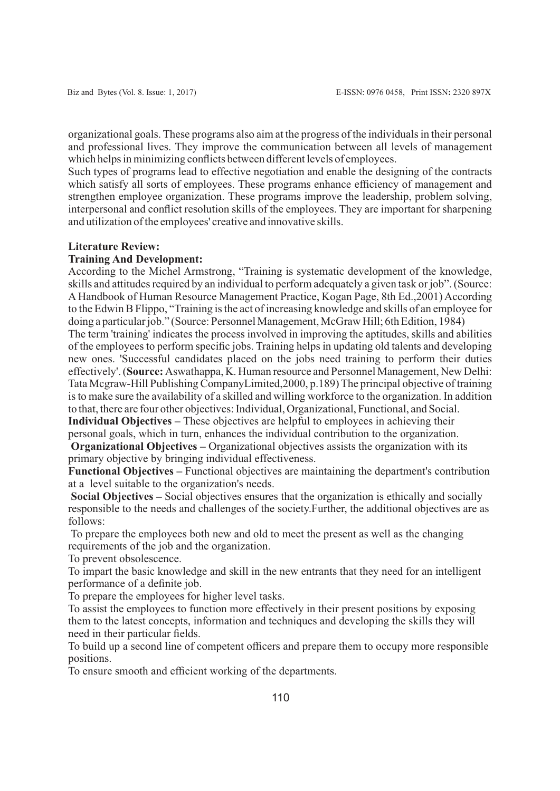organizational goals. These programs also aim at the progress of the individuals in their personal and professional lives. They improve the communication between all levels of management which helps in minimizing conflicts between different levels of employees.

Such types of programs lead to effective negotiation and enable the designing of the contracts which satisfy all sorts of employees. These programs enhance efficiency of management and strengthen employee organization. These programs improve the leadership, problem solving, interpersonal and conflict resolution skills of the employees. They are important for sharpening and utilization of the employees' creative and innovative skills.

# **Literature Review:**

#### **Training And Development:**

According to the Michel Armstrong, "Training is systematic development of the knowledge, skills and attitudes required by an individual to perform adequately a given task or job". (Source: A Handbook of Human Resource Management Practice, Kogan Page, 8th Ed.,2001) According to the Edwin B Flippo, "Training is the act of increasing knowledge and skills of an employee for doing a particular job." (Source: Personnel Management, McGraw Hill; 6th Edition, 1984) The term 'training' indicates the process involved in improving the aptitudes, skills and abilities of the employees to perform specific jobs. Training helps in updating old talents and developing new ones. 'Successful candidates placed on the jobs need training to perform their duties effectively'. (**Source:** Aswathappa, K. Human resource and Personnel Management, New Delhi: Tata Mcgraw-Hill Publishing CompanyLimited,2000, p.189) The principal objective of training is to make sure the availability of a skilled and willing workforce to the organization. In addition

to that, there are four other objectives: Individual, Organizational, Functional, and Social. **Individual Objectives –** These objectives are helpful to employees in achieving their personal goals, which in turn, enhances the individual contribution to the organization.

**Organizational Objectives –** Organizational objectives assists the organization with its primary objective by bringing individual effectiveness.

**Functional Objectives –** Functional objectives are maintaining the department's contribution at a level suitable to the organization's needs.

**Social Objectives –** Social objectives ensures that the organization is ethically and socially responsible to the needs and challenges of the society.Further, the additional objectives are as follows:

To prepare the employees both new and old to meet the present as well as the changing requirements of the job and the organization.

To prevent obsolescence.

To impart the basic knowledge and skill in the new entrants that they need for an intelligent performance of a definite job.

To prepare the employees for higher level tasks.

To assist the employees to function more effectively in their present positions by exposing them to the latest concepts, information and techniques and developing the skills they will need in their particular fields.

To build up a second line of competent officers and prepare them to occupy more responsible positions.

To ensure smooth and efficient working of the departments.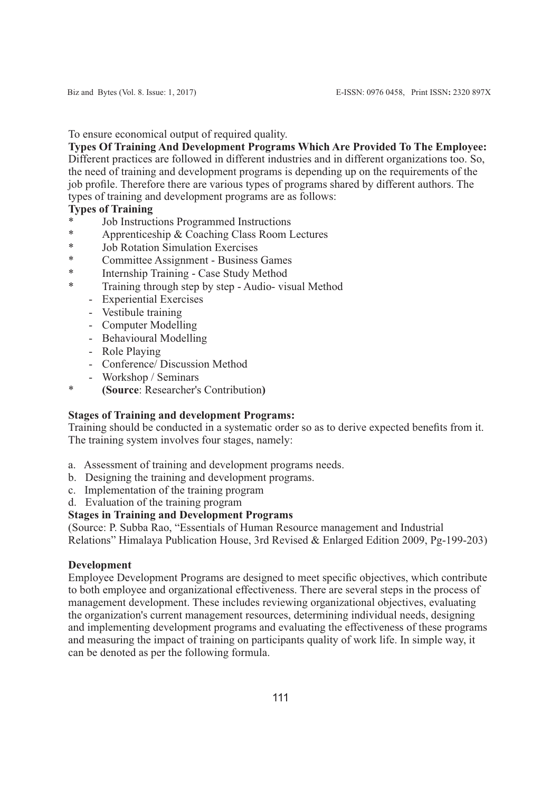# To ensure economical output of required quality.

**Types Of Training And Development Programs Which Are Provided To The Employee:** Different practices are followed in different industries and in different organizations too. So, the need of training and development programs is depending up on the requirements of the job profile. Therefore there are various types of programs shared by different authors. The types of training and development programs are as follows:

# **Types of Training**

- \* Job Instructions Programmed Instructions<br> $*$  Apprenticeship & Coaching Class Room I
- \* Apprenticeship & Coaching Class Room Lectures
- Job Rotation Simulation Exercises
- \* Committee Assignment Business Games
- \* Internship Training Case Study Method
- Training through step by step Audio- visual Method
	- Experiential Exercises
	- Vestibule training
	- Computer Modelling
	- Behavioural Modelling
	- Role Playing
	- Conference/ Discussion Method
	- Workshop / Seminars
- \* **(Source**: Researcher's Contribution**)**

# **Stages of Training and development Programs:**

Training should be conducted in a systematic order so as to derive expected benefits from it. The training system involves four stages, namely:

- a. Assessment of training and development programs needs.
- b. Designing the training and development programs.
- c. Implementation of the training program
- d. Evaluation of the training program

# **Stages in Training and Development Programs**

(Source: P. Subba Rao, "Essentials of Human Resource management and Industrial Relations" Himalaya Publication House, 3rd Revised & Enlarged Edition 2009, Pg-199-203)

# **Development**

Employee Development Programs are designed to meet specific objectives, which contribute to both employee and organizational effectiveness. There are several steps in the process of management development. These includes reviewing organizational objectives, evaluating the organization's current management resources, determining individual needs, designing and implementing development programs and evaluating the effectiveness of these programs and measuring the impact of training on participants quality of work life. In simple way, it can be denoted as per the following formula.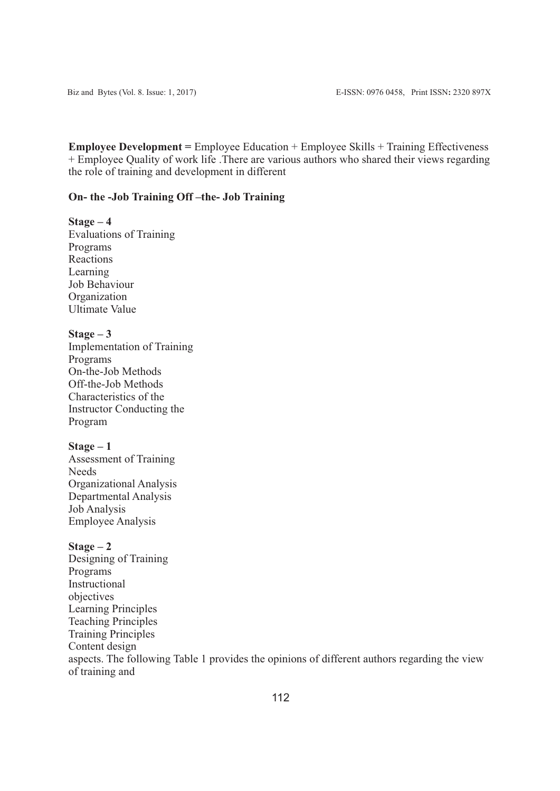**Employee Development =** Employee Education + Employee Skills + Training Effectiveness + Employee Quality of work life .There are various authors who shared their views regarding the role of training and development in different

#### **On- the -Job Training Off –the- Job Training**

# **Stage – 4**

Evaluations of Training Programs Reactions Learning Job Behaviour **Organization** Ultimate Value

#### **Stage – 3**

Implementation of Training Programs On-the-Job Methods Off-the-Job Methods Characteristics of the Instructor Conducting the Program

#### **Stage – 1**

Assessment of Training Needs Organizational Analysis Departmental Analysis Job Analysis Employee Analysis

#### **Stage – 2**

Designing of Training Programs Instructional objectives Learning Principles Teaching Principles Training Principles Content design aspects. The following Table 1 provides the opinions of different authors regarding the view of training and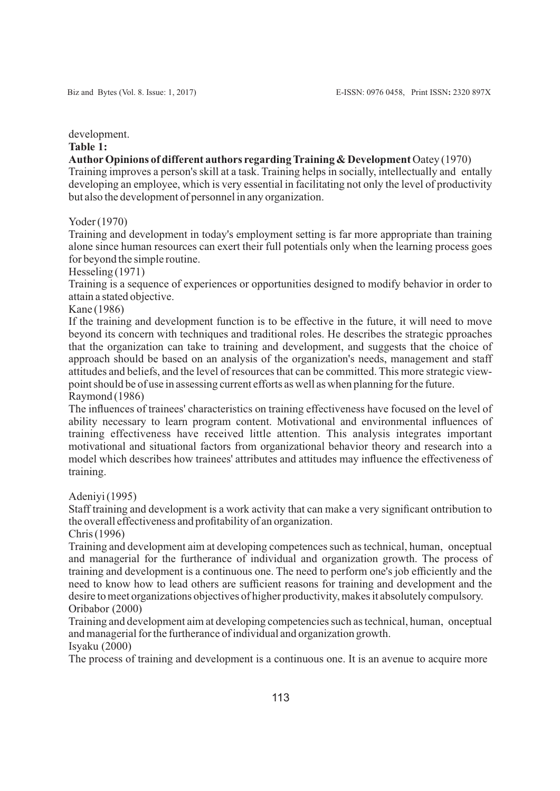development.

#### **Table 1:**

**AuthorOpinions of different authors regarding Training & Development** Oatey (1970)

Training improves a person's skill at a task. Training helps in socially, intellectually and entally developing an employee, which is very essential in facilitating not only the level of productivity but also the development of personnel in any organization.

Yoder (1970)

Training and development in today's employment setting is far more appropriate than training alone since human resources can exert their full potentials only when the learning process goes for beyond the simple routine.

Hesseling (1971)

Training is a sequence of experiences or opportunities designed to modify behavior in order to attain a stated objective.

#### Kane (1986)

If the training and development function is to be effective in the future, it will need to move beyond its concern with techniques and traditional roles. He describes the strategic pproaches that the organization can take to training and development, and suggests that the choice of approach should be based on an analysis of the organization's needs, management and staff attitudes and beliefs, and the level of resources that can be committed. This more strategic viewpoint should be of use in assessing current efforts as well as when planning for the future. Raymond (1986)

The influences of trainees' characteristics on training effectiveness have focused on the level of ability necessary to learn program content. Motivational and environmental influences of training effectiveness have received little attention. This analysis integrates important motivational and situational factors from organizational behavior theory and research into a model which describes how trainees' attributes and attitudes may influence the effectiveness of training.

Adeniyi (1995)

Staff training and development is a work activity that can make a very significant ontribution to the overall effectiveness and profitability of an organization.

Chris (1996)

Training and development aim at developing competences such as technical, human, onceptual and managerial for the furtherance of individual and organization growth. The process of training and development is a continuous one. The need to perform one's job efficiently and the need to know how to lead others are sufficient reasons for training and development and the desire to meet organizations objectives of higher productivity, makes it absolutely compulsory. Oribabor (2000)

Training and development aim at developing competencies such as technical, human, onceptual and managerial for the furtherance of individual and organization growth.

Isyaku (2000)

The process of training and development is a continuous one. It is an avenue to acquire more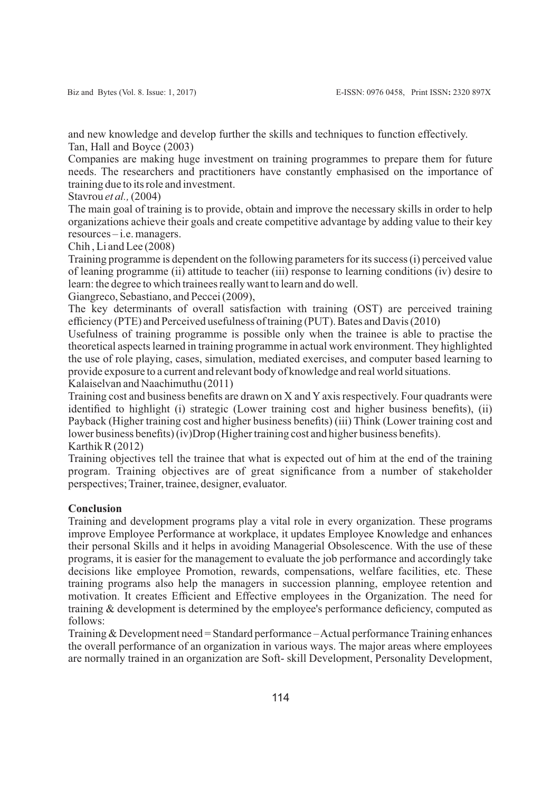and new knowledge and develop further the skills and techniques to function effectively. Tan, Hall and Boyce (2003)

Companies are making huge investment on training programmes to prepare them for future needs. The researchers and practitioners have constantly emphasised on the importance of training due to its role and investment.

Stavrou *et al.,*(2004)

The main goal of training is to provide, obtain and improve the necessary skills in order to help organizations achieve their goals and create competitive advantage by adding value to their key resources – i.e. managers.

Chih , Li and Lee (2008)

Training programme is dependent on the following parameters for its success (i) perceived value of leaning programme (ii) attitude to teacher (iii) response to learning conditions (iv) desire to learn: the degree to which trainees really want to learn and do well.

Giangreco, Sebastiano, and Peccei (2009),

The key determinants of overall satisfaction with training (OST) are perceived training efficiency (PTE) and Perceived usefulness of training (PUT). Bates and Davis (2010)

Usefulness of training programme is possible only when the trainee is able to practise the theoretical aspects learned in training programme in actual work environment. They highlighted the use of role playing, cases, simulation, mediated exercises, and computer based learning to provide exposure to a current and relevant body of knowledge and real world situations.

Kalaiselvan and Naachimuthu (2011)

Training cost and business benefits are drawn on X and Y axis respectively. Four quadrants were identified to highlight (i) strategic (Lower training cost and higher business benefits), (ii) Payback (Higher training cost and higher business benefits) (iii) Think (Lower training cost and lower business benefits) (iv)Drop (Higher training cost and higher business benefits). Karthik R (2012)

Training objectives tell the trainee that what is expected out of him at the end of the training program. Training objectives are of great significance from a number of stakeholder perspectives; Trainer, trainee, designer, evaluator.

# **Conclusion**

Training and development programs play a vital role in every organization. These programs improve Employee Performance at workplace, it updates Employee Knowledge and enhances their personal Skills and it helps in avoiding Managerial Obsolescence. With the use of these programs, it is easier for the management to evaluate the job performance and accordingly take decisions like employee Promotion, rewards, compensations, welfare facilities, etc. These training programs also help the managers in succession planning, employee retention and motivation. It creates Efficient and Effective employees in the Organization. The need for training & development is determined by the employee's performance deficiency, computed as follows:

Training & Development need = Standard performance – Actual performance Training enhances the overall performance of an organization in various ways. The major areas where employees are normally trained in an organization are Soft- skill Development, Personality Development,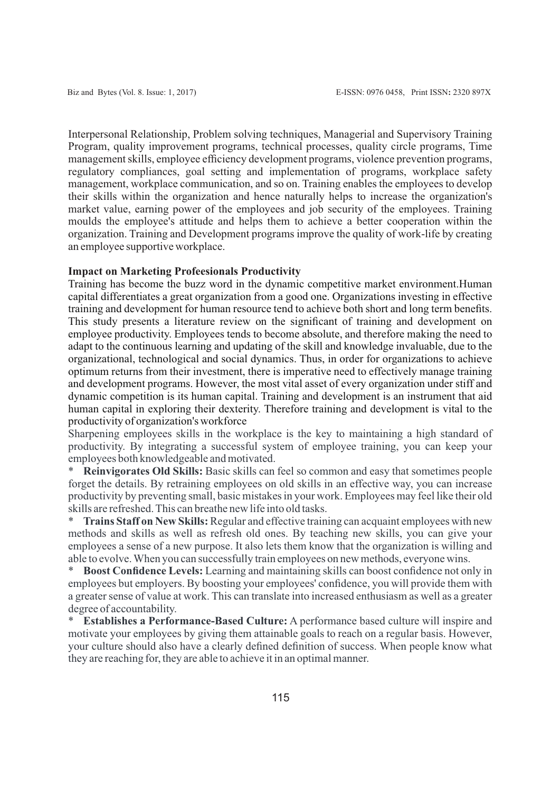Interpersonal Relationship, Problem solving techniques, Managerial and Supervisory Training Program, quality improvement programs, technical processes, quality circle programs, Time management skills, employee efficiency development programs, violence prevention programs, regulatory compliances, goal setting and implementation of programs, workplace safety management, workplace communication, and so on. Training enables the employees to develop their skills within the organization and hence naturally helps to increase the organization's market value, earning power of the employees and job security of the employees. Training moulds the employee's attitude and helps them to achieve a better cooperation within the organization. Training and Development programs improve the quality of work-life by creating an employee supportive workplace.

#### **Impact on Marketing Profeesionals Productivity**

Training has become the buzz word in the dynamic competitive market environment.Human capital differentiates a great organization from a good one. Organizations investing in effective training and development for human resource tend to achieve both short and long term benefits. This study presents a literature review on the significant of training and development on employee productivity. Employees tends to become absolute, and therefore making the need to adapt to the continuous learning and updating of the skill and knowledge invaluable, due to the organizational, technological and social dynamics. Thus, in order for organizations to achieve optimum returns from their investment, there is imperative need to effectively manage training and development programs. However, the most vital asset of every organization under stiff and dynamic competition is its human capital. Training and development is an instrument that aid human capital in exploring their dexterity. Therefore training and development is vital to the productivity of organization's workforce

Sharpening employees skills in the workplace is the key to maintaining a high standard of productivity. By integrating a successful system of employee training, you can keep your employees both knowledgeable and motivated.

\* **Reinvigorates Old Skills:** Basic skills can feel so common and easy that sometimes people forget the details. By retraining employees on old skills in an effective way, you can increase productivity by preventing small, basic mistakes in your work. Employees may feel like their old skills are refreshed. This can breathe new life into old tasks.

Trains Staff on New Skills: Regular and effective training can acquaint employees with new methods and skills as well as refresh old ones. By teaching new skills, you can give your employees a sense of a new purpose. It also lets them know that the organization is willing and able to evolve. When you can successfully train employees on new methods, everyone wins.

**Boost Confidence Levels:** Learning and maintaining skills can boost confidence not only in employees but employers. By boosting your employees' confidence, you will provide them with a greater sense of value at work. This can translate into increased enthusiasm as well as a greater degree of accountability.

**Establishes a Performance-Based Culture:** A performance based culture will inspire and motivate your employees by giving them attainable goals to reach on a regular basis. However, your culture should also have a clearly defined definition of success. When people know what they are reaching for, they are able to achieve it in an optimal manner.